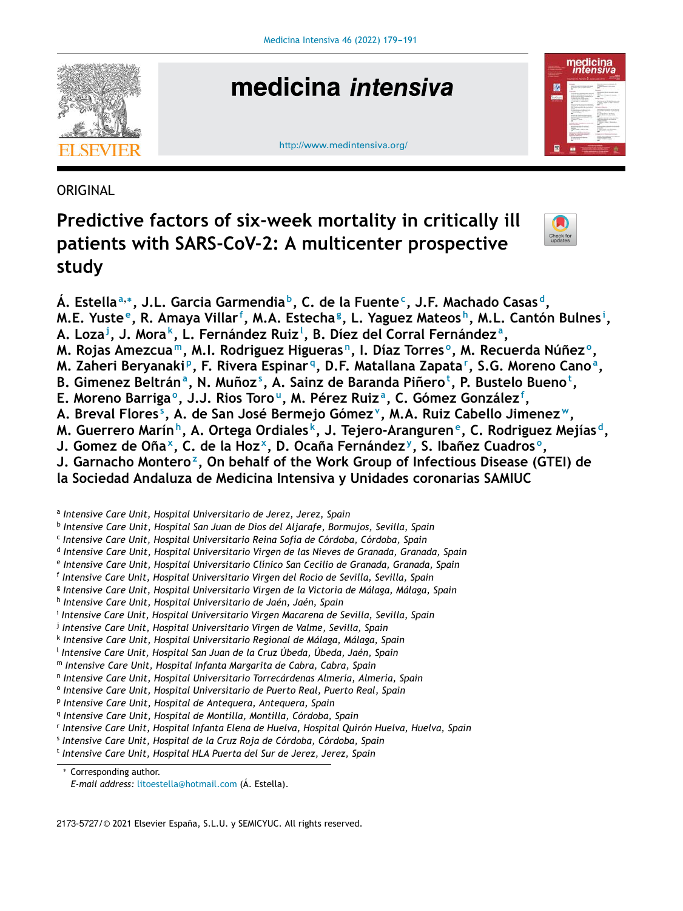

# medicina *intensiva*

http://www.medintensiva.org/



**ORIGINAL** 

# **Predictive factors of six-week mortality in critically ill patients with SARS-CoV-2: A multicenter prospective study**



**Á. Estella<sup>a</sup>**,<sup>∗</sup> **, J.L. Garcia Garmendia <sup>b</sup> , C. de la Fuente<sup>c</sup> , J.F. Machado Casas <sup>d</sup> ,** M.E. Yuste<sup>e</sup>, R. Amaya Villar<sup>f</sup>, M.A. Estecha<sup>g</sup>, L. Yaguez Mateos<sup>h</sup>, M.L. Cantón Bulnes<sup>i</sup>, **A. Loza<sup>j</sup> , J. Mora <sup>k</sup> , L. Fernández Ruiz<sup>l</sup> , B. Díez del Corral Fernández <sup>a</sup> ,** M. Rojas Amezcua™, M.I. Rodriguez Higueras<u>n,</u> I. Díaz Torres°, M. Recuerda Núñez°, M. Zaheri Beryanaki<sup>p</sup>, F. Rivera Espinar<sup>q</sup>, D.F. Matallana Zapata<sup>r</sup>, S.G. Moreno Cano<sup>a</sup>, B. Gimenez Beltránª, N. Muñoz $^{\mathrm{s}}$ , A. Sainz de Baranda Piñero $^{\mathrm{t}}$ , P. Bustelo Bueno $^{\mathrm{t}}$ , **E. Moreno Barriga <sup>o</sup> , J.J. Rios Toro <sup>u</sup> , M. Pérez Ruiz <sup>a</sup> , C. Gómez González<sup>f</sup> , A. Breval Flores <sup>s</sup> , A. de San José Bermejo Gómez<sup>v</sup> , M.A. Ruiz Cabello Jimenez <sup>w</sup>, M. Guerrero Marín <sup>h</sup> , A. Ortega Ordiales <sup>k</sup> , J. Tejero-Aranguren<sup>e</sup> , C. Rodriguez Mejías <sup>d</sup> ,** J. Gomez de Oña<sup>x</sup>, C. de la Hoz<sup>x</sup>, D. Ocaña Fernández<sup>y</sup>, S. Ibañez Cuadrosº, **J. Garnacho Montero<sup>z</sup> , On behalf of the Work Group of Infectious Disease (GTEI) de la Sociedad Andaluza de Medicina Intensiva y Unidades coronarias SAMIUC** a *Intensive Care Unit, Hospital Universitario de Jerez, Jerez, Spain* b *Intensive Care Unit, Hospital San Juan de Dios del Aljarafe, Bormujos, Sevilla, Spain* c *Intensive Care Unit, Hospital Universitario Reina Sofía de Córdoba, Córdoba, Spain* d *Intensive Care Unit, Hospital Universitario Virgen de las Nieves de Granada, Granada, Spain* e *Intensive Care Unit, Hospital Universitario Clínico San Cecilio de Granada, Granada, Spain* f *Intensive Care Unit, Hospital Universitario Virgen del Rocio de Sevilla, Sevilla, Spain*

g *Intensive Care Unit, Hospital Universitario Virgen de la Victoria de Málaga, Málaga, Spain*

- h *Intensive Care Unit, Hospital Universitario de Jaén, Jaén, Spain*
- i *Intensive Care Unit, Hospital Universitario Virgen Macarena de Sevilla, Sevilla, Spain*
- j *Intensive Care Unit, Hospital Universitario Virgen de Valme, Sevilla, Spain*
- k *Intensive Care Unit, Hospital Universitario Regional de Málaga, Málaga, Spain*
- l *Intensive Care Unit, Hospital San Juan de la Cruz Úbeda, Úbeda, Jaén, Spain*
- <sup>m</sup> *Intensive Care Unit, Hospital Infanta Margarita de Cabra, Cabra, Spain*
- n *Intensive Care Unit, Hospital Universitario Torrecárdenas Almería, Almería, Spain*
- o *Intensive Care Unit, Hospital Universitario de Puerto Real, Puerto Real, Spain*
- p *Intensive Care Unit, Hospital de Antequera, Antequera, Spain*
- q *Intensive Care Unit, Hospital de Montilla, Montilla, Córdoba, Spain*
- r *Intensive Care Unit, Hospital Infanta Elena de Huelva, Hospital Quirón Huelva, Huelva, Spain*
- s *Intensive Care Unit, Hospital de la Cruz Roja de Córdoba, Córdoba, Spain*
- t *Intensive Care Unit, Hospital HLA Puerta del Sur de Jerez, Jerez, Spain*

<sup>∗</sup> Corresponding author.

2173-5727/© 2021 Elsevier España, S.L.U. y SEMICYUC. All rights reserved.

*E-mail address:* litoestella@hotmail.com (Á. Estella).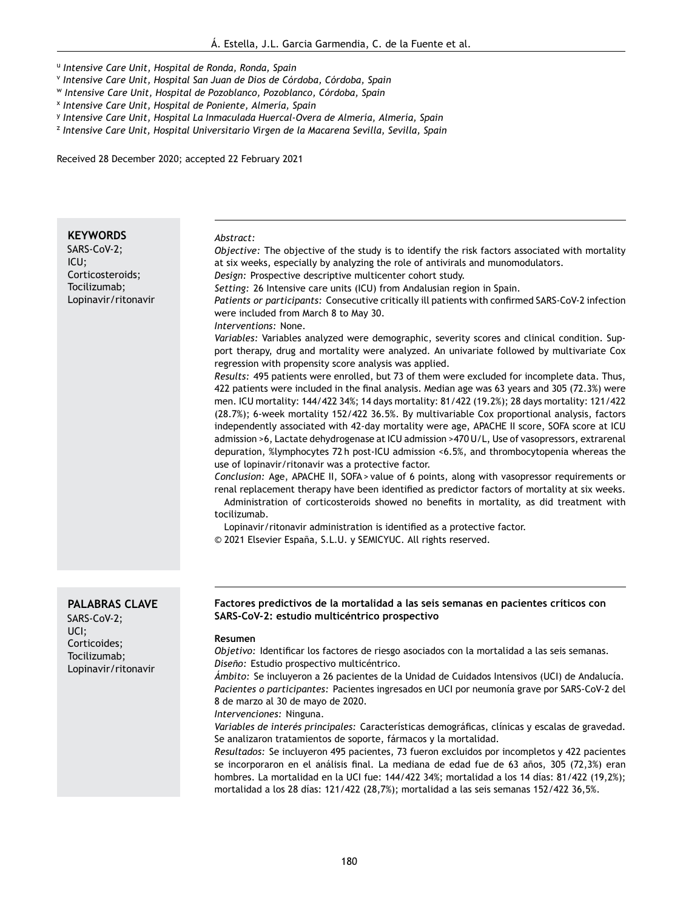u *Intensive Care Unit, Hospital de Ronda, Ronda, Spain*

- v *Intensive Care Unit, Hospital San Juan de Dios de Córdoba, Córdoba, Spain*
- <sup>w</sup> *Intensive Care Unit, Hospital de Pozoblanco, Pozoblanco, Córdoba, Spain*
- x *Intensive Care Unit, Hospital de Poniente, Almería, Spain*
- y *Intensive Care Unit, Hospital La Inmaculada Huercal-Overa de Almería, Almería, Spain*
- z *Intensive Care Unit, Hospital Universitario Virgen de la Macarena Sevilla, Sevilla, Spain*

Received 28 December 2020; accepted 22 February 2021

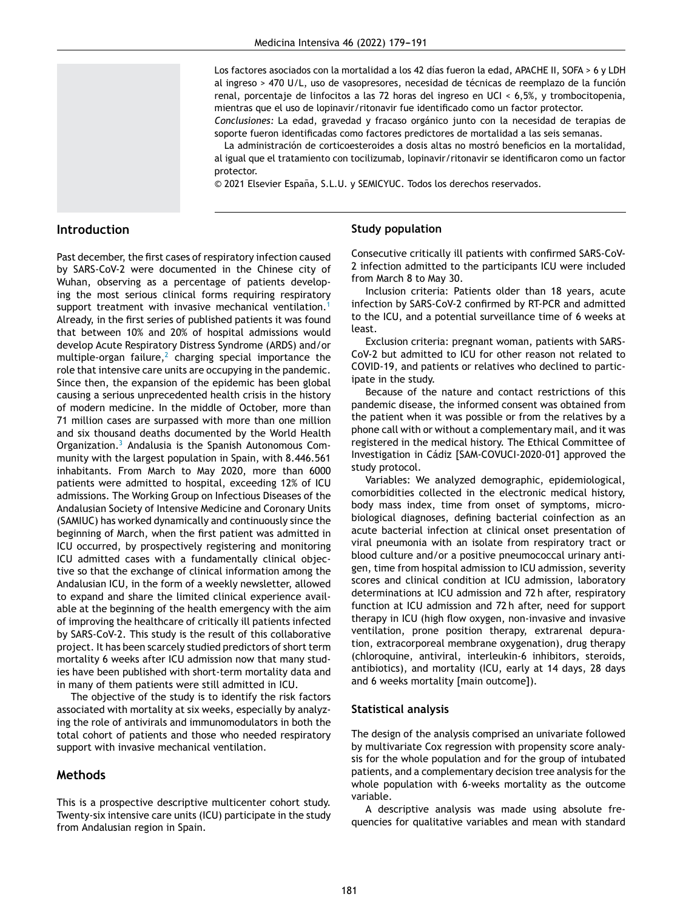Los factores asociados con la mortalidad a los 42 días fueron la edad, APACHE II, SOFA > 6 y LDH al ingreso > 470 U/L, uso de vasopresores, necesidad de técnicas de reemplazo de la función renal, porcentaje de linfocitos a las 72 horas del ingreso en UCI < 6,5%, y trombocitopenia, mientras que el uso de lopinavir/ritonavir fue identificado como un factor protector.

*Conclusiones:* La edad, gravedad y fracaso orgánico junto con la necesidad de terapias de soporte fueron identificadas como factores predictores de mortalidad a las seis semanas.

La administración de corticoesteroides a dosis altas no mostró beneficios en la mortalidad, al igual que el tratamiento con tocilizumab, lopinavir/ritonavir se identificaron como un factor protector.

© 2021 Elsevier España, S.L.U. y SEMICYUC. Todos los derechos reservados.

# **Introduction**

Past december, the first cases of respiratory infection caused by SARS-CoV-2 were documented in the Chinese city of Wuhan, observing as a percentage of patients developing the most serious clinical forms requiring respiratory support treatment with invasive mechanical ventilation.<sup>1</sup> Already, in the first series of published patients it was found that between 10% and 20% of hospital admissions would develop Acute Respiratory Distress Syndrome (ARDS) and/or multiple-organ failure,<sup>2</sup> charging special importance the role that intensive care units are occupying in the pandemic. Since then, the expansion of the epidemic has been global causing a serious unprecedented health crisis in the history of modern medicine. In the middle of October, more than 71 million cases are surpassed with more than one million and six thousand deaths documented by the World Health Organization. $3$  Andalusia is the Spanish Autonomous Community with the largest population in Spain, with 8.446.561 inhabitants. From March to May 2020, more than 6000 patients were admitted to hospital, exceeding 12% of ICU admissions. The Working Group on Infectious Diseases of the Andalusian Society of Intensive Medicine and Coronary Units (SAMIUC) has worked dynamically and continuously since the beginning of March, when the first patient was admitted in ICU occurred, by prospectively registering and monitoring ICU admitted cases with a fundamentally clinical objective so that the exchange of clinical information among the Andalusian ICU, in the form of a weekly newsletter, allowed to expand and share the limited clinical experience available at the beginning of the health emergency with the aim of improving the healthcare of critically ill patients infected by SARS-CoV-2. This study is the result of this collaborative project. It has been scarcely studied predictors of short term mortality 6 weeks after ICU admission now that many studies have been published with short-term mortality data and in many of them patients were still admitted in ICU.

The objective of the study is to identify the risk factors associated with mortality at six weeks, especially by analyzing the role of antivirals and immunomodulators in both the total cohort of patients and those who needed respiratory support with invasive mechanical ventilation.

# **Methods**

This is a prospective descriptive multicenter cohort study. Twenty-six intensive care units (ICU) participate in the study from Andalusian region in Spain.

#### **Study population**

Consecutive critically ill patients with confirmed SARS-CoV-2 infection admitted to the participants ICU were included from March 8 to May 30.

Inclusion criteria: Patients older than 18 years, acute infection by SARS-CoV-2 confirmed by RT-PCR and admitted to the ICU, and a potential surveillance time of 6 weeks at least.

Exclusion criteria: pregnant woman, patients with SARS-CoV-2 but admitted to ICU for other reason not related to COVID-19, and patients or relatives who declined to participate in the study.

Because of the nature and contact restrictions of this pandemic disease, the informed consent was obtained from the patient when it was possible or from the relatives by a phone call with or without a complementary mail, and it was registered in the medical history. The Ethical Committee of Investigation in Cádiz [SAM-COVUCI-2020-01] approved the study protocol.

Variables: We analyzed demographic, epidemiological, comorbidities collected in the electronic medical history, body mass index, time from onset of symptoms, microbiological diagnoses, defining bacterial coinfection as an acute bacterial infection at clinical onset presentation of viral pneumonia with an isolate from respiratory tract or blood culture and/or a positive pneumococcal urinary antigen, time from hospital admission to ICU admission, severity scores and clinical condition at ICU admission, laboratory determinations at ICU admission and 72 h after, respiratory function at ICU admission and 72 h after, need for support therapy in ICU (high flow oxygen, non-invasive and invasive ventilation, prone position therapy, extrarenal depuration, extracorporeal membrane oxygenation), drug therapy (chloroquine, antiviral, interleukin-6 inhibitors, steroids, antibiotics), and mortality (ICU, early at 14 days, 28 days and 6 weeks mortality [main outcome]).

#### **Statistical analysis**

The design of the analysis comprised an univariate followed by multivariate Cox regression with propensity score analysis for the whole population and for the group of intubated patients, and a complementary decision tree analysis for the whole population with 6-weeks mortality as the outcome variable.

A descriptive analysis was made using absolute frequencies for qualitative variables and mean with standard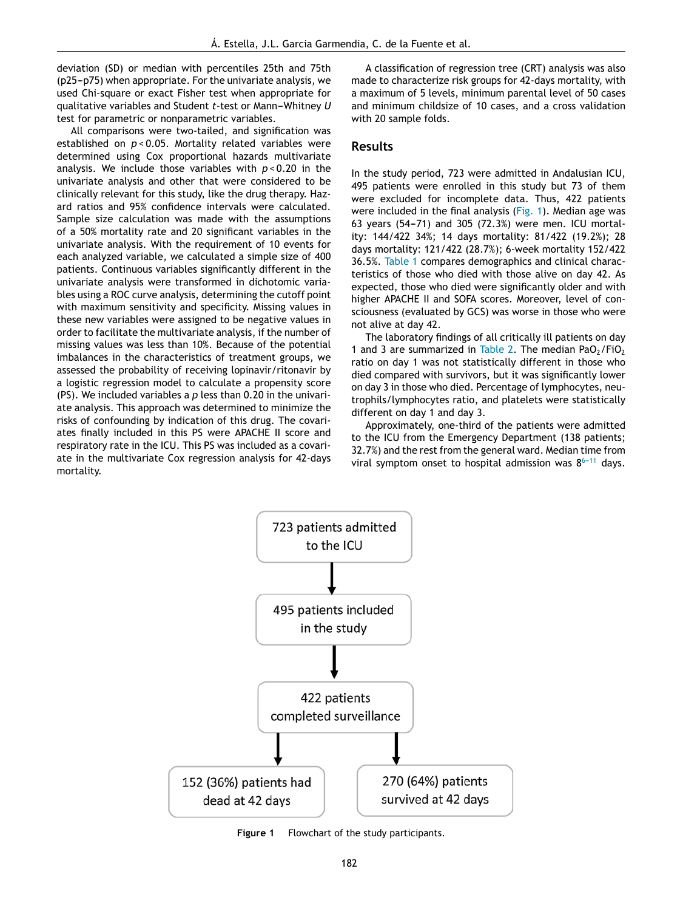deviation (SD) or median with percentiles 25th and 75th  $(p25-p75)$  when appropriate. For the univariate analysis, we used Chi-square or exact Fisher test when appropriate for qualitative variables and Student *t*-test or Mann-Whitney *U* test for parametric or nonparametric variables.

All comparisons were two-tailed, and signification was established on *p* < 0.05. Mortality related variables were determined using Cox proportional hazards multivariate analysis. We include those variables with *p* < 0.20 in the univariate analysis and other that were considered to be clinically relevant for this study, like the drug therapy. Hazard ratios and 95% confidence intervals were calculated. Sample size calculation was made with the assumptions of a 50% mortality rate and 20 significant variables in the univariate analysis. With the requirement of 10 events for each analyzed variable, we calculated a simple size of 400 patients. Continuous variables significantly different in the univariate analysis were transformed in dichotomic variables using a ROC curve analysis, determining the cutoff point with maximum sensitivity and specificity. Missing values in these new variables were assigned to be negative values in order to facilitate the multivariate analysis, if the number of missing values was less than 10%. Because of the potential imbalances in the characteristics of treatment groups, we assessed the probability of receiving lopinavir/ritonavir by a logistic regression model to calculate a propensity score (PS). We included variables a *p* less than 0.20 in the univariate analysis. This approach was determined to minimize the risks of confounding by indication of this drug. The covariates finally included in this PS were APACHE II score and respiratory rate in the ICU. This PS was included as a covariate in the multivariate Cox regression analysis for 42-days mortality.

A classification of regression tree (CRT) analysis was also made to characterize risk groups for 42-days mortality, with a maximum of 5 levels, minimum parental level of 50 cases and minimum childsize of 10 cases, and a cross validation with 20 sample folds.

# **Results**

In the study period, 723 were admitted in Andalusian ICU, 495 patients were enrolled in this study but 73 of them were excluded for incomplete data. Thus, 422 patients were included in the final analysis (Fig. 1). Median age was 63 years (54-71) and 305 (72.3%) were men. ICU mortality: 144/422 34%; 14 days mortality: 81/422 (19.2%); 28 days mortality: 121/422 (28.7%); 6-week mortality 152/422 36.5%. Table 1 compares demographics and clinical characteristics of those who died with those alive on day 42. As expected, those who died were significantly older and with higher APACHE II and SOFA scores. Moreover, level of consciousness (evaluated by GCS) was worse in those who were not alive at day 42.

The laboratory findings of all critically ill patients on day 1 and 3 are summarized in Table 2. The median PaO $_2$ /FiO<sub>2</sub> ratio on day 1 was not statistically different in those who died compared with survivors, but it was significantly lower on day 3 in those who died. Percentage of lymphocytes, neutrophils/lymphocytes ratio, and platelets were statistically different on day 1 and day 3.

Approximately, one-third of the patients were admitted to the ICU from the Emergency Department (138 patients; 32.7%) and the rest from the general ward. Median time from viral symptom onset to hospital admission was  $8^{6-11}$  days.



**Figure 1** Flowchart of the study participants.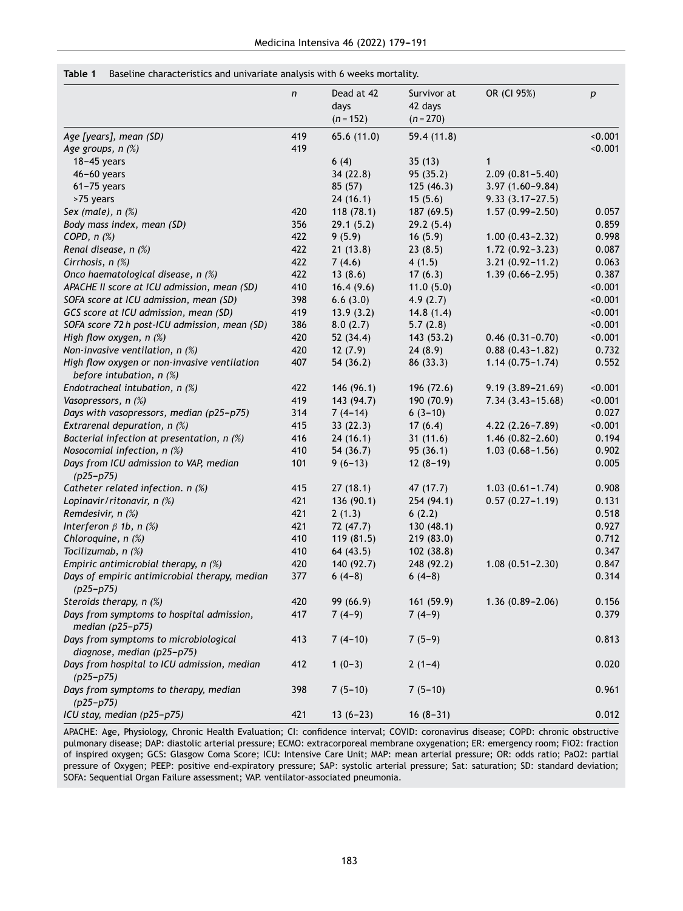#### **Table 1** Baseline characteristics and univariate analysis with 6 weeks mortality.

|                                                                            | n   | Dead at 42<br>days<br>$(n = 152)$ | Survivor at<br>42 days<br>$(n = 270)$ | OR (CI 95%)          | $\boldsymbol{p}$ |
|----------------------------------------------------------------------------|-----|-----------------------------------|---------------------------------------|----------------------|------------------|
| Age [years], mean (SD)                                                     | 419 | 65.6 (11.0)                       | 59.4(11.8)                            |                      | < 0.001          |
| Age groups, n (%)                                                          | 419 |                                   |                                       |                      | < 0.001          |
| $18-45$ years                                                              |     | 6(4)                              | 35(13)                                | 1                    |                  |
| 46-60 years                                                                |     | 34 (22.8)                         | 95 (35.2)                             | $2.09(0.81 - 5.40)$  |                  |
| $61 - 75$ years                                                            |     | 85 (57)                           | 125(46.3)                             | $3.97(1.60 - 9.84)$  |                  |
| >75 years                                                                  |     | 24(16.1)                          | 15(5.6)                               | $9.33(3.17 - 27.5)$  |                  |
| Sex (male), $n$ $%$                                                        | 420 | 118(78.1)                         | 187 (69.5)                            | $1.57(0.99 - 2.50)$  | 0.057            |
| Body mass index, mean (SD)                                                 | 356 | 29.1(5.2)                         | 29.2(5.4)                             |                      | 0.859            |
| COPD, $n$ $%$                                                              | 422 | 9(5.9)                            | 16(5.9)                               | $1.00(0.43 - 2.32)$  | 0.998            |
| Renal disease, n (%)                                                       | 422 | 21(13.8)                          | 23(8.5)                               | $1.72(0.92 - 3.23)$  | 0.087            |
| Cirrhosis, $n$ $(\%)$                                                      | 422 | 7(4.6)                            | 4(1.5)                                | $3.21(0.92 - 11.2)$  | 0.063            |
| Onco haematological disease, n (%)                                         | 422 | 13(8.6)                           | 17(6.3)                               | $1.39(0.66 - 2.95)$  | 0.387            |
| APACHE II score at ICU admission, mean (SD)                                | 410 | 16.4(9.6)                         | 11.0(5.0)                             |                      | < 0.001          |
| SOFA score at ICU admission, mean (SD)                                     | 398 | 6.6(3.0)                          | 4.9(2.7)                              |                      | < 0.001          |
| GCS score at ICU admission, mean (SD)                                      |     |                                   |                                       |                      | < 0.001          |
|                                                                            | 419 | 13.9(3.2)                         | 14.8(1.4)                             |                      |                  |
| SOFA score 72 h post-ICU admission, mean (SD)                              | 386 | 8.0(2.7)                          | 5.7(2.8)                              |                      | < 0.001          |
| High flow oxygen, n (%)                                                    | 420 | 52 (34.4)                         | 143 (53.2)                            | $0.46(0.31 - 0.70)$  | < 0.001          |
| Non-invasive ventilation, $n$ (%)                                          | 420 | 12(7.9)                           | 24(8.9)                               | $0.88(0.43 - 1.82)$  | 0.732            |
| High flow oxygen or non-invasive ventilation<br>before intubation, $n$ (%) | 407 | 54 (36.2)                         | 86 (33.3)                             | $1.14(0.75 - 1.74)$  | 0.552            |
| Endotracheal intubation, n (%)                                             | 422 | 146 (96.1)                        | 196 (72.6)                            | $9.19(3.89 - 21.69)$ | < 0.001          |
| Vasopressors, n (%)                                                        | 419 | 143 (94.7)                        | 190 (70.9)                            | $7.34(3.43 - 15.68)$ | < 0.001          |
| Days with vasopressors, median (p25-p75)                                   | 314 | $7(4-14)$                         | $6(3-10)$                             |                      | 0.027            |
| Extrarenal depuration, n (%)                                               | 415 | 33(22.3)                          | 17(6.4)                               | $4.22(2.26 - 7.89)$  | < 0.001          |
| Bacterial infection at presentation, n (%)                                 | 416 | 24(16.1)                          | 31(11.6)                              | $1.46(0.82 - 2.60)$  | 0.194            |
| Nosocomial infection, n (%)                                                | 410 | 54 (36.7)                         | 95(36.1)                              | $1.03(0.68 - 1.56)$  | 0.902            |
| Days from ICU admission to VAP, median<br>$(p25-p75)$                      | 101 | $9(6-13)$                         | $12(8-19)$                            |                      | 0.005            |
| Catheter related infection. n (%)                                          | 415 | 27(18.1)                          | 47 (17.7)                             | $1.03(0.61 - 1.74)$  | 0.908            |
| Lopinavir/ritonavir, n (%)                                                 | 421 | 136 (90.1)                        | 254 (94.1)                            | $0.57(0.27 - 1.19)$  | 0.131            |
| Remdesivir, n (%)                                                          | 421 | 2(1.3)                            | 6(2.2)                                |                      | 0.518            |
| Interferon $\beta$ 1b, n $(\%)$                                            | 421 | 72 (47.7)                         | 130 (48.1)                            |                      | 0.927            |
| Chloroquine, n (%)                                                         | 410 | 119 (81.5)                        | 219 (83.0)                            |                      | 0.712            |
| Tocilizumab, n (%)                                                         | 410 | 64 (43.5)                         | 102(38.8)                             |                      | 0.347            |
| Empiric antimicrobial therapy, $n$ (%)                                     | 420 | 140 (92.7)                        | 248 (92.2)                            | $1.08(0.51 - 2.30)$  | 0.847            |
| Days of empiric antimicrobial therapy, median                              | 377 | $6(4-8)$                          | $6(4-8)$                              |                      | 0.314            |
| $(p25-p75)$                                                                |     |                                   |                                       |                      |                  |
| Steroids therapy, n (%)                                                    | 420 | 99 (66.9)                         | 161 (59.9)                            | $1.36(0.89 - 2.06)$  | 0.156            |
| Days from symptoms to hospital admission,<br>median $(p25-p75)$            | 417 | $7(4-9)$                          | $7(4-9)$                              |                      | 0.379            |
| Days from symptoms to microbiological<br>diagnose, median (p25-p75)        | 413 | $7(4-10)$                         | $7(5-9)$                              |                      | 0.813            |
| Days from hospital to ICU admission, median                                | 412 | $1(0-3)$                          | $2(1-4)$                              |                      | 0.020            |
| $(p25-p75)$                                                                |     |                                   |                                       |                      |                  |
| Days from symptoms to therapy, median<br>$(p25-p75)$                       | 398 | $7(5-10)$                         | $7(5-10)$                             |                      | 0.961            |
| ICU stay, median (p25-p75)                                                 | 421 | $13(6-23)$                        | $16(8-31)$                            |                      | 0.012            |

APACHE: Age, Physiology, Chronic Health Evaluation; CI: confidence interval; COVID: coronavirus disease; COPD: chronic obstructive pulmonary disease; DAP: diastolic arterial pressure; ECMO: extracorporeal membrane oxygenation; ER: emergency room; FiO2: fraction of inspired oxygen; GCS: Glasgow Coma Score; ICU: Intensive Care Unit; MAP: mean arterial pressure; OR: odds ratio; PaO2: partial pressure of Oxygen; PEEP: positive end-expiratory pressure; SAP: systolic arterial pressure; Sat: saturation; SD: standard deviation; SOFA: Sequential Organ Failure assessment; VAP. ventilator-associated pneumonia.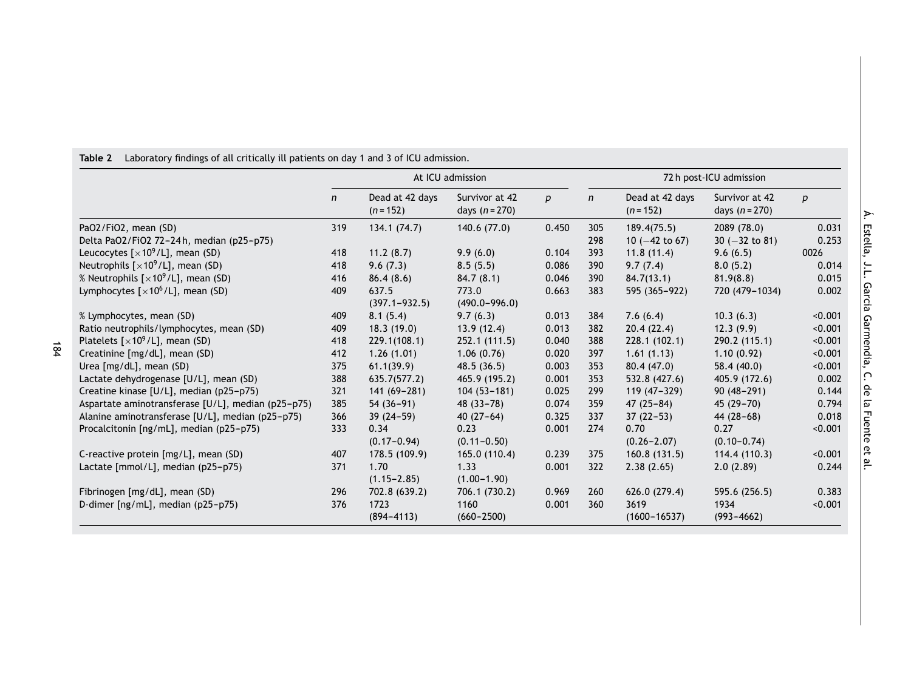|                                                    | At ICU admission |                                |                                    | 72 h post-ICU admission |     |                                |                                    |         |
|----------------------------------------------------|------------------|--------------------------------|------------------------------------|-------------------------|-----|--------------------------------|------------------------------------|---------|
|                                                    | n                | Dead at 42 days<br>$(n = 152)$ | Survivor at 42<br>days $(n = 270)$ | p                       | n   | Dead at 42 days<br>$(n = 152)$ | Survivor at 42<br>days $(n = 270)$ | p       |
| PaO2/FiO2, mean (SD)                               | 319              | 134.1(74.7)                    | 140.6 (77.0)                       | 0.450                   | 305 | 189.4(75.5)                    | 2089 (78.0)                        | 0.031   |
| Delta Pa02/Fi02 72-24h, median (p25-p75)           |                  |                                |                                    |                         | 298 | 10 $(-42 \text{ to } 67)$      | $30 (-32 to 81)$                   | 0.253   |
| Leucocytes $[x10^9/L]$ , mean (SD)                 | 418              | 11.2(8.7)                      | 9.9(6.0)                           | 0.104                   | 393 | 11.8(11.4)                     | 9.6(6.5)                           | 0026    |
| Neutrophils $[x10^9/L]$ , mean (SD)                | 418              | 9.6(7.3)                       | 8.5(5.5)                           | 0.086                   | 390 | 9.7(7.4)                       | 8.0(5.2)                           | 0.014   |
| % Neutrophils $[x10^9/L]$ , mean (SD)              | 416              | 86.4(8.6)                      | 84.7(8.1)                          | 0.046                   | 390 | 84.7(13.1)                     | 81.9(8.8)                          | 0.015   |
| Lymphocytes $[x10^6/L]$ , mean (SD)                | 409              | 637.5                          | 773.0                              | 0.663                   | 383 | 595 (365-922)                  | 720 (479-1034)                     | 0.002   |
|                                                    |                  | $(397.1 - 932.5)$              | $(490.0 - 996.0)$                  |                         |     |                                |                                    |         |
| % Lymphocytes, mean (SD)                           | 409              | 8.1(5.4)                       | 9.7(6.3)                           | 0.013                   | 384 | 7.6(6.4)                       | 10.3(6.3)                          | < 0.001 |
| Ratio neutrophils/lymphocytes, mean (SD)           | 409              | 18.3(19.0)                     | 13.9(12.4)                         | 0.013                   | 382 | 20.4(22.4)                     | 12.3(9.9)                          | < 0.001 |
| Platelets $[x10^9/L]$ , mean (SD)                  | 418              | 229.1(108.1)                   | 252.1 (111.5)                      | 0.040                   | 388 | 228.1(102.1)                   | 290.2 (115.1)                      | < 0.001 |
| Creatinine [mg/dL], mean (SD)                      | 412              | 1.26(1.01)                     | 1.06(0.76)                         | 0.020                   | 397 | 1.61(1.13)                     | 1.10(0.92)                         | < 0.001 |
| Urea [mg/dL], mean (SD)                            | 375              | 61.1(39.9)                     | 48.5(36.5)                         | 0.003                   | 353 | 80.4(47.0)                     | 58.4 (40.0)                        | < 0.001 |
| Lactate dehydrogenase [U/L], mean (SD)             | 388              | 635.7(577.2)                   | 465.9 (195.2)                      | 0.001                   | 353 | 532.8 (427.6)                  | 405.9 (172.6)                      | 0.002   |
| Creatine kinase [U/L], median (p25-p75)            | 321              | $141(69 - 281)$                | $104(53 - 181)$                    | 0.025                   | 299 | $119(47-329)$                  | $90(48 - 291)$                     | 0.144   |
| Aspartate aminotransferase [U/L], median (p25-p75) | 385              | $54(36-91)$                    | $48(33 - 78)$                      | 0.074                   | 359 | $47(25 - 84)$                  | $45(29 - 70)$                      | 0.794   |
| Alanine aminotransferase [U/L], median (p25-p75)   | 366              | $39(24-59)$                    | $40(27-64)$                        | 0.325                   | 337 | $37(22 - 53)$                  | $44(28-68)$                        | 0.018   |
| Procalcitonin [ng/mL], median (p25-p75)            | 333              | 0.34                           | 0.23                               | 0.001                   | 274 | 0.70                           | 0.27                               | < 0.001 |
|                                                    |                  | $(0.17 - 0.94)$                | $(0.11 - 0.50)$                    |                         |     | $(0.26 - 2.07)$                | $(0.10 - 0.74)$                    |         |
| C-reactive protein [mg/L], mean (SD)               | 407              | 178.5 (109.9)                  | 165.0 (110.4)                      | 0.239                   | 375 | 160.8(131.5)                   | 114.4 (110.3)                      | < 0.001 |
| Lactate [mmol/L], median (p25-p75)                 | 371              | 1.70                           | 1.33                               | 0.001                   | 322 | 2.38(2.65)                     | 2.0(2.89)                          | 0.244   |
|                                                    |                  | $(1.15 - 2.85)$                | $(1.00 - 1.90)$                    |                         |     |                                |                                    |         |
| Fibrinogen [mg/dL], mean (SD)                      | 296              | 702.8 (639.2)                  | 706.1 (730.2)                      | 0.969                   | 260 | 626.0(279.4)                   | 595.6 (256.5)                      | 0.383   |
| D-dimer [ng/mL], median (p25-p75)                  | 376              | 1723                           | 1160                               | 0.001                   | 360 | 3619                           | 1934                               | < 0.001 |
|                                                    |                  | $(894 - 4113)$                 | $(660 - 2500)$                     |                         |     | $(1600 - 16537)$               | $(993 - 4662)$                     |         |

# **Table 2** Laboratory findings of all critically ill patients on day 1 and 3 of ICU admission.

Á. Estella, J.L. Garcia Garmendia, C. ခု  $\overline{\omega}$ Fuente Զ

<u>۾</u>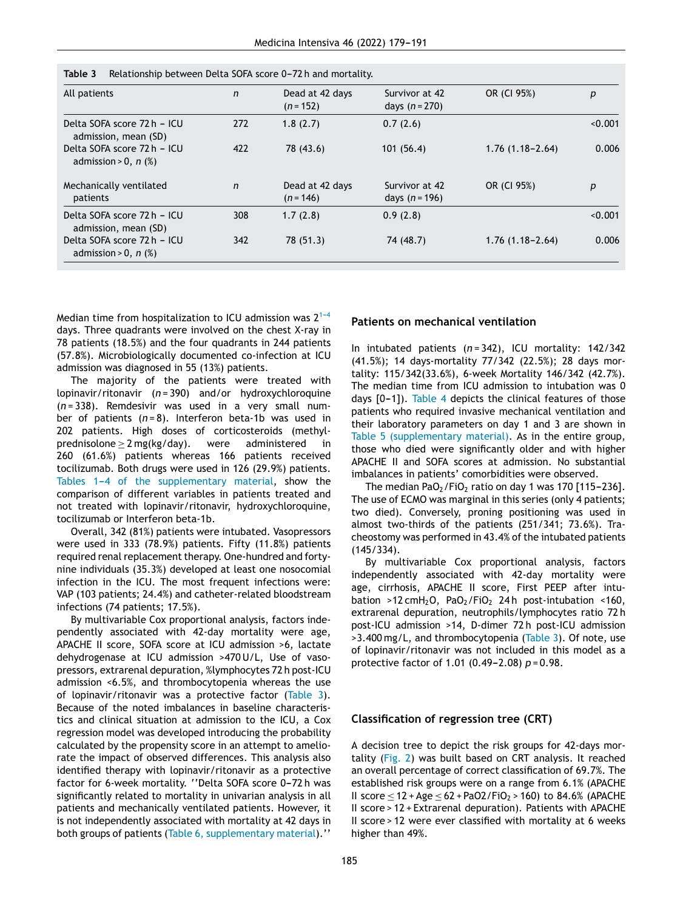| c biubi<br>Retationship between betta SOFA SCOTE 0-72 ii and mortality. |              |                                |                                    |                     |         |  |
|-------------------------------------------------------------------------|--------------|--------------------------------|------------------------------------|---------------------|---------|--|
| All patients                                                            | n            | Dead at 42 days<br>$(n = 152)$ | Survivor at 42<br>days $(n = 270)$ | OR (CI 95%)         | р       |  |
| Delta SOFA score 72 h - ICU<br>admission, mean (SD)                     | 272          | 1.8(2.7)                       | 0.7(2.6)                           |                     | < 0.001 |  |
| Delta SOFA score 72 h - ICU<br>admission > 0, n $(\%)$                  | 422          | 78 (43.6)                      | 101(56.4)                          | $1.76(1.18 - 2.64)$ | 0.006   |  |
| Mechanically ventilated<br>patients                                     | $\mathsf{n}$ | Dead at 42 days<br>$(n = 146)$ | Survivor at 42<br>days $(n = 196)$ | OR (CI 95%)         | р       |  |
| Delta SOFA score 72 h - ICU<br>admission, mean (SD)                     | 308          | 1.7(2.8)                       | 0.9(2.8)                           |                     | < 0.001 |  |
| Delta SOFA score 72 h - ICU<br>admission > 0, n $(\%)$                  | 342          | 78 (51.3)                      | 74 (48.7)                          | $1.76(1.18 - 2.64)$ | 0.006   |  |

**Table 3** Relationship between Delta SOFA score 0---72 h and mortality.

Median time from hospitalization to ICU admission was 2 $^{\rm 1-4}$ days. Three quadrants were involved on the chest X-ray in 78 patients (18.5%) and the four quadrants in 244 patients (57.8%). Microbiologically documented co-infection at ICU admission was diagnosed in 55 (13%) patients.

The majority of the patients were treated with lopinavir/ritonavir (*n* = 390) and/or hydroxychloroquine (*n* = 338). Remdesivir was used in a very small number of patients (*n* = 8). Interferon beta-1b was used in 202 patients. High doses of corticosteroids (methyl $prednisolone \geq 2 mg(kg/day).$  were administered in 260 (61.6%) patients whereas 166 patients received tocilizumab. Both drugs were used in 126 (29.9%) patients. Tables 1-4 of the supplementary material, show the comparison of different variables in patients treated and not treated with lopinavir/ritonavir, hydroxychloroquine, tocilizumab or Interferon beta-1b.

Overall, 342 (81%) patients were intubated. Vasopressors were used in 333 (78.9%) patients. Fifty (11.8%) patients required renal replacement therapy. One-hundred and fortynine individuals (35.3%) developed at least one nosocomial infection in the ICU. The most frequent infections were: VAP (103 patients; 24.4%) and catheter-related bloodstream infections (74 patients; 17.5%).

By multivariable Cox proportional analysis, factors independently associated with 42-day mortality were age, APACHE II score, SOFA score at ICU admission >6, lactate dehydrogenase at ICU admission >470 U/L, Use of vasopressors, extrarenal depuration, %lymphocytes 72 h post-ICU admission <6.5%, and thrombocytopenia whereas the use of lopinavir/ritonavir was a protective factor (Table 3). Because of the noted imbalances in baseline characteristics and clinical situation at admission to the ICU, a Cox regression model was developed introducing the probability calculated by the propensity score in an attempt to ameliorate the impact of observed differences. This analysis also identified therapy with lopinavir/ritonavir as a protective factor for 6-week mortality. "Delta SOFA score 0-72 h was significantly related to mortality in univarian analysis in all patients and mechanically ventilated patients. However, it is not independently associated with mortality at 42 days in both groups of patients (Table 6, supplementary material).''

# **Patients on mechanical ventilation**

In intubated patients (*n* = 342), ICU mortality: 142/342 (41.5%); 14 days-mortality 77/342 (22.5%); 28 days mortality: 115/342(33.6%), 6-week Mortality 146/342 (42.7%). The median time from ICU admission to intubation was 0 days  $[0-1]$ ). Table 4 depicts the clinical features of those patients who required invasive mechanical ventilation and their laboratory parameters on day 1 and 3 are shown in Table 5 (supplementary material). As in the entire group, those who died were significantly older and with higher APACHE II and SOFA scores at admission. No substantial imbalances in patients' comorbidities were observed.

The median  $PaO<sub>2</sub>/FiO<sub>2</sub>$  ratio on day 1 was 170 [115-236]. The use of ECMO was marginal in this series (only 4 patients; two died). Conversely, proning positioning was used in almost two-thirds of the patients (251/341; 73.6%). Tracheostomy was performed in 43.4% of the intubated patients (145/334).

By multivariable Cox proportional analysis, factors independently associated with 42-day mortality were age, cirrhosis, APACHE II score, First PEEP after intubation >12 cmH<sub>2</sub>O, PaO<sub>2</sub>/FiO<sub>2</sub> 24h post-intubation <160, extrarenal depuration, neutrophils/lymphocytes ratio 72 h post-ICU admission >14, D-dimer 72 h post-ICU admission >3.400 mg/L, and thrombocytopenia (Table 3). Of note, use of lopinavir/ritonavir was not included in this model as a protective factor of 1.01 (0.49-2.08)  $p = 0.98$ .

#### **Classification of regression tree (CRT)**

A decision tree to depict the risk groups for 42-days mortality (Fig. 2) was built based on CRT analysis. It reached an overall percentage of correct classification of 69.7%. The established risk groups were on a range from 6.1% (APACHE II score ≤ 12 + Age ≤ 62 + PaO2/FiO<sub>2</sub> > 160) to 84.6% (APACHE II score > 12 + Extrarenal depuration). Patients with APACHE II score > 12 were ever classified with mortality at 6 weeks higher than 49%.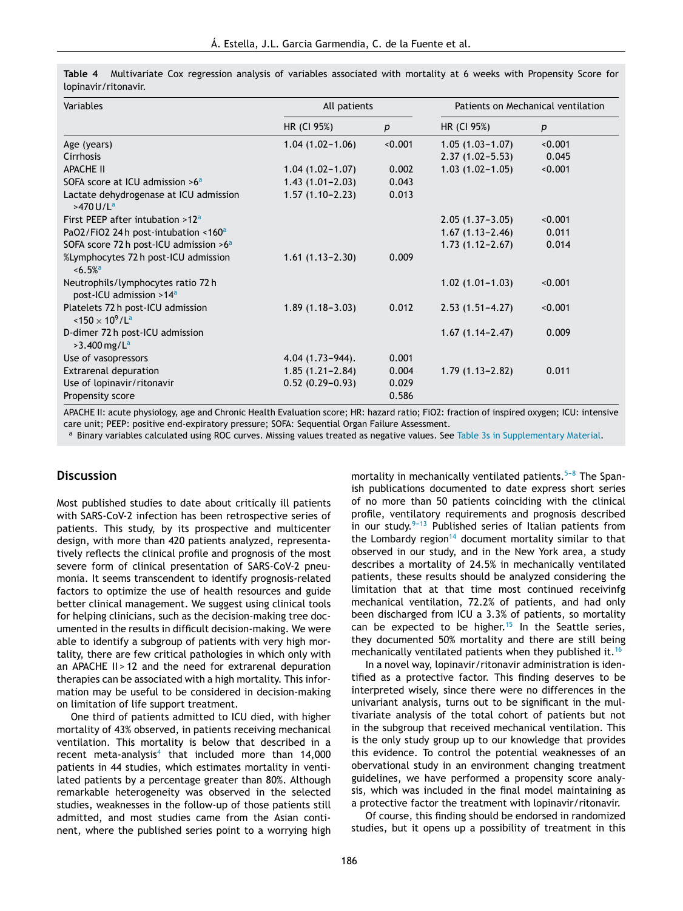| <b>Variables</b>                                                         | All patients         |         |                     | Patients on Mechanical ventilation |
|--------------------------------------------------------------------------|----------------------|---------|---------------------|------------------------------------|
|                                                                          | HR (CI 95%)          | p       | HR (CI 95%)         | p                                  |
| Age (years)                                                              | $1.04(1.02 - 1.06)$  | < 0.001 | $1.05(1.03 - 1.07)$ | < 0.001                            |
| Cirrhosis                                                                |                      |         | $2.37(1.02 - 5.53)$ | 0.045                              |
| <b>APACHE II</b>                                                         | $1.04(1.02 - 1.07)$  | 0.002   | $1.03(1.02 - 1.05)$ | < 0.001                            |
| SOFA score at ICU admission $>6a$                                        | $1.43(1.01 - 2.03)$  | 0.043   |                     |                                    |
| Lactate dehydrogenase at ICU admission<br>$>470$ U/L <sup>a</sup>        | $1.57(1.10 - 2.23)$  | 0.013   |                     |                                    |
| First PEEP after intubation $>12^a$                                      |                      |         | $2.05(1.37-3.05)$   | < 0.001                            |
| PaO2/FiO2 24h post-intubation <160 <sup>a</sup>                          |                      |         | $1.67(1.13 - 2.46)$ | 0.011                              |
| SOFA score 72 h post-ICU admission >6 <sup>a</sup>                       |                      |         | $1.73(1.12 - 2.67)$ | 0.014                              |
| %Lymphocytes 72 h post-ICU admission<br>$\le 6.5\%$ <sup>a</sup>         | $1.61(1.13 - 2.30)$  | 0.009   |                     |                                    |
| Neutrophils/lymphocytes ratio 72h<br>post-ICU admission >14 <sup>a</sup> |                      |         | $1.02(1.01 - 1.03)$ | < 0.001                            |
| Platelets 72 h post-ICU admission<br>$150 \times 10^9$ /L <sup>a</sup>   | $1.89(1.18-3.03)$    | 0.012   | $2.53(1.51 - 4.27)$ | < 0.001                            |
| D-dimer 72 h post-ICU admission<br>$>3.400$ mg/L <sup>a</sup>            |                      |         | $1.67(1.14 - 2.47)$ | 0.009                              |
| Use of vasopressors                                                      | $4.04(1.73 - 944)$ . | 0.001   |                     |                                    |
| <b>Extrarenal depuration</b>                                             | $1.85(1.21 - 2.84)$  | 0.004   | $1.79(1.13 - 2.82)$ | 0.011                              |
| Use of lopinavir/ritonavir                                               | $0.52(0.29 - 0.93)$  | 0.029   |                     |                                    |
| Propensity score                                                         |                      | 0.586   |                     |                                    |

**Table 4** Multivariate Cox regression analysis of variables associated with mortality at 6 weeks with Propensity Score for lopinavir/ritonavir.

APACHE II: acute physiology, age and Chronic Health Evaluation score; HR: hazard ratio; FiO2: fraction of inspired oxygen; ICU: intensive care unit; PEEP: positive end-expiratory pressure; SOFA: Sequential Organ Failure Assessment.

a Binary variables calculated using ROC curves. Missing values treated as negative values. See Table 3s in Supplementary Material.

# **Discussion**

Most published studies to date about critically ill patients with SARS-CoV-2 infection has been retrospective series of patients. This study, by its prospective and multicenter design, with more than 420 patients analyzed, representatively reflects the clinical profile and prognosis of the most severe form of clinical presentation of SARS-CoV-2 pneumonia. It seems transcendent to identify prognosis-related factors to optimize the use of health resources and guide better clinical management. We suggest using clinical tools for helping clinicians, such as the decision-making tree documented in the results in difficult decision-making. We were able to identify a subgroup of patients with very high mortality, there are few critical pathologies in which only with an APACHE II > 12 and the need for extrarenal depuration therapies can be associated with a high mortality. This information may be useful to be considered in decision-making on limitation of life support treatment.

One third of patients admitted to ICU died, with higher mortality of 43% observed, in patients receiving mechanical ventilation. This mortality is below that described in a recent meta-analysis<sup>4</sup> that included more than 14,000 patients in 44 studies, which estimates mortality in ventilated patients by a percentage greater than 80%. Although remarkable heterogeneity was observed in the selected studies, weaknesses in the follow-up of those patients still admitted, and most studies came from the Asian continent, where the published series point to a worrying high

mortality in mechanically ventilated patients. $5-8$  The Spanish publications documented to date express short series of no more than 50 patients coinciding with the clinical profile, ventilatory requirements and prognosis described in our study. $9-13$  Published series of Italian patients from the Lombardy region<sup>14</sup> document mortality similar to that observed in our study, and in the New York area, a study describes a mortality of 24.5% in mechanically ventilated patients, these results should be analyzed considering the limitation that at that time most continued receivinfg mechanical ventilation, 72.2% of patients, and had only been discharged from ICU a 3.3% of patients, so mortality can be expected to be higher.<sup>15</sup> In the Seattle series, they documented 50% mortality and there are still being mechanically ventilated patients when they published it.<sup>16</sup>

In a novel way, lopinavir/ritonavir administration is identified as a protective factor. This finding deserves to be interpreted wisely, since there were no differences in the univariant analysis, turns out to be significant in the multivariate analysis of the total cohort of patients but not in the subgroup that received mechanical ventilation. This is the only study group up to our knowledge that provides this evidence. To control the potential weaknesses of an obervational study in an environment changing treatment guidelines, we have performed a propensity score analysis, which was included in the final model maintaining as a protective factor the treatment with lopinavir/ritonavir.

Of course, this finding should be endorsed in randomized studies, but it opens up a possibility of treatment in this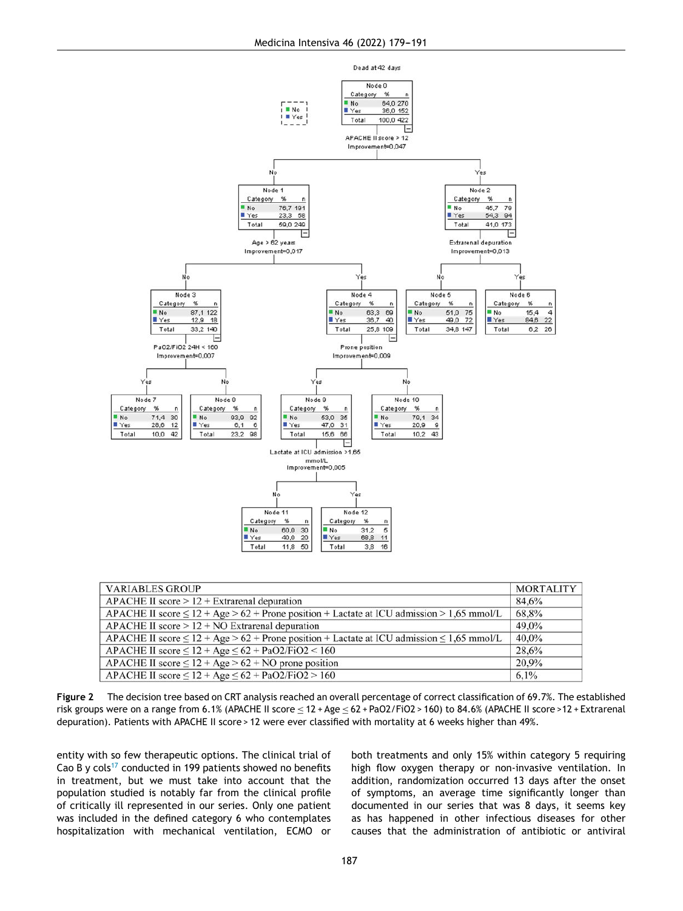

| <b>VARIABLES GROUP</b>                                                                              | <b>MORTALITY</b> |
|-----------------------------------------------------------------------------------------------------|------------------|
| $APACHE II score > 12 + Extrarenal deputation$                                                      | 84.6%            |
| APACHE II score $\leq 12 + Age > 62 +$ Prone position + Lactate at ICU admission > 1,65 mmol/L      | 68.8%            |
| APACHE II score $> 12 + NO$ Extrarenal depuration                                                   | 49.0%            |
| APACHE II score $\leq 12 + Age > 62 +$ Prone position + Lactate at ICU admission $\leq 1,65$ mmol/L | 40.0%            |
| APACHE II score $\leq 12 + \text{Age} \leq 62 + \text{PaO2/FiO2} < 160$                             | 28.6%            |
| APACHE II score $\leq 12 + Age > 62 + NO$ prone position                                            | 20.9%            |
| APACHE II score $\leq 12 + Age \leq 62 + PaO2/FiO2 > 160$                                           | 6,1%             |

**Figure 2** The decision tree based on CRT analysis reached an overall percentage of correct classification of 69.7%. The established risk groups were on a range from 6.1% (APACHE II score ≤ 12 + Age ≤ 62 + PaO2/FiO2 > 160) to 84.6% (APACHE II score >12 + Extrarenal depuration). Patients with APACHE II score > 12 were ever classified with mortality at 6 weeks higher than 49%.

entity with so few therapeutic options. The clinical trial of Cao B y cols<sup>17</sup> conducted in 199 patients showed no benefits in treatment, but we must take into account that the population studied is notably far from the clinical profile of critically ill represented in our series. Only one patient was included in the defined category 6 who contemplates hospitalization with mechanical ventilation, ECMO or both treatments and only 15% within category 5 requiring high flow oxygen therapy or non-invasive ventilation. In addition, randomization occurred 13 days after the onset of symptoms, an average time significantly longer than documented in our series that was 8 days, it seems key as has happened in other infectious diseases for other causes that the administration of antibiotic or antiviral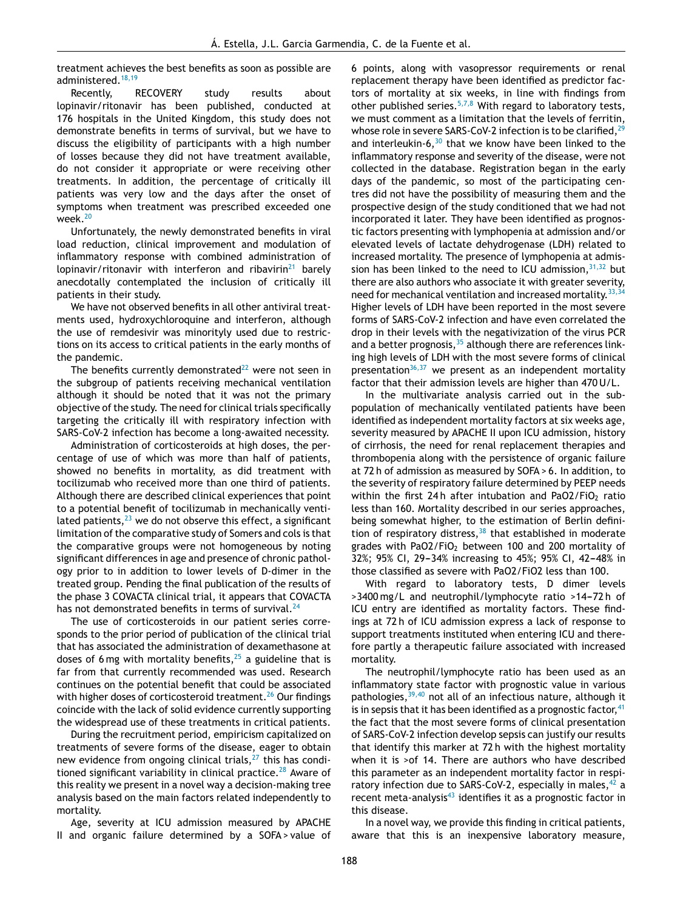treatment achieves the best benefits as soon as possible are administered.<sup>18,19</sup>

Recently, RECOVERY study results about lopinavir/ritonavir has been published, conducted at 176 hospitals in the United Kingdom, this study does not demonstrate benefits in terms of survival, but we have to discuss the eligibility of participants with a high number of losses because they did not have treatment available, do not consider it appropriate or were receiving other treatments. In addition, the percentage of critically ill patients was very low and the days after the onset of symptoms when treatment was prescribed exceeded one week. $20$ 

Unfortunately, the newly demonstrated benefits in viral load reduction, clinical improvement and modulation of inflammatory response with combined administration of lopinavir/ritonavir with interferon and ribavirin<sup>21</sup> barely anecdotally contemplated the inclusion of critically ill patients in their study.

We have not observed benefits in all other antiviral treatments used, hydroxychloroquine and interferon, although the use of remdesivir was minorityly used due to restrictions on its access to critical patients in the early months of the pandemic.

The benefits currently demonstrated $^{22}$  were not seen in the subgroup of patients receiving mechanical ventilation although it should be noted that it was not the primary objective of the study. The need for clinical trials specifically targeting the critically ill with respiratory infection with SARS-CoV-2 infection has become a long-awaited necessity.

Administration of corticosteroids at high doses, the percentage of use of which was more than half of patients, showed no benefits in mortality, as did treatment with tocilizumab who received more than one third of patients. Although there are described clinical experiences that point to a potential benefit of tocilizumab in mechanically ventilated patients,  $23$  we do not observe this effect, a significant limitation of the comparative study of Somers and cols is that the comparative groups were not homogeneous by noting significant differences in age and presence of chronic pathology prior to in addition to lower levels of D-dimer in the treated group. Pending the final publication of the results of the phase 3 COVACTA clinical trial, it appears that COVACTA has not demonstrated benefits in terms of survival. $^{24}$ 

The use of corticosteroids in our patient series corresponds to the prior period of publication of the clinical trial that has associated the administration of dexamethasone at doses of 6 mg with mortality benefits,  $25$  a guideline that is far from that currently recommended was used. Research continues on the potential benefit that could be associated with higher doses of corticosteroid treatment.<sup>26</sup> Our findings coincide with the lack of solid evidence currently supporting the widespread use of these treatments in critical patients.

During the recruitment period, empiricism capitalized on treatments of severe forms of the disease, eager to obtain new evidence from ongoing clinical trials, $27$  this has conditioned significant variability in clinical practice. $28$  Aware of this reality we present in a novel way a decision-making tree analysis based on the main factors related independently to mortality.

Age, severity at ICU admission measured by APACHE II and organic failure determined by a SOFA > value of 6 points, along with vasopressor requirements or renal replacement therapy have been identified as predictor factors of mortality at six weeks, in line with findings from other published series. $5,7,8$  With regard to laboratory tests, we must comment as a limitation that the levels of ferritin, whose role in severe SARS-CoV-2 infection is to be clarified.<sup>29</sup> and interleukin-6, $30$  that we know have been linked to the inflammatory response and severity of the disease, were not collected in the database. Registration began in the early days of the pandemic, so most of the participating centres did not have the possibility of measuring them and the prospective design of the study conditioned that we had not incorporated it later. They have been identified as prognostic factors presenting with lymphopenia at admission and/or elevated levels of lactate dehydrogenase (LDH) related to increased mortality. The presence of lymphopenia at admission has been linked to the need to ICU admission,  $31,32$  but there are also authors who associate it with greater severity, need for mechanical ventilation and increased mortality.<sup>33,34</sup> Higher levels of LDH have been reported in the most severe forms of SARS-CoV-2 infection and have even correlated the drop in their levels with the negativization of the virus PCR and a better prognosis,  $35$  although there are references linking high levels of LDH with the most severe forms of clinical presentation $36,37$  we present as an independent mortality factor that their admission levels are higher than 470 U/L.

In the multivariate analysis carried out in the subpopulation of mechanically ventilated patients have been identified as independent mortality factors at six weeks age, severity measured by APACHE II upon ICU admission, history of cirrhosis, the need for renal replacement therapies and thrombopenia along with the persistence of organic failure at 72 h of admission as measured by SOFA > 6. In addition, to the severity of respiratory failure determined by PEEP needs within the first 24h after intubation and PaO2/FiO<sub>2</sub> ratio less than 160. Mortality described in our series approaches, being somewhat higher, to the estimation of Berlin definition of respiratory distress, $38$  that established in moderate grades with PaO2/FiO<sub>2</sub> between 100 and 200 mortality of 32%; 95% CJ, 29-34% increasing to 45%; 95% CJ, 42-48% in those classified as severe with PaO2/FiO2 less than 100.

With regard to laboratory tests, D dimer levels >3400 mg/L and neutrophil/lymphocyte ratio >14-72 h of ICU entry are identified as mortality factors. These findings at 72 h of ICU admission express a lack of response to support treatments instituted when entering ICU and therefore partly a therapeutic failure associated with increased mortality.

The neutrophil/lymphocyte ratio has been used as an inflammatory state factor with prognostic value in various pathologies, <sup>39,40</sup> not all of an infectious nature, although it is in sepsis that it has been identified as a prognostic factor,  $41$ the fact that the most severe forms of clinical presentation of SARS-CoV-2 infection develop sepsis can justify our results that identify this marker at 72 h with the highest mortality when it is >of 14. There are authors who have described this parameter as an independent mortality factor in respiratory infection due to SARS-CoV-2, especially in males,  $42$  a recent meta-analysis $43$  identifies it as a prognostic factor in this disease.

In a novel way, we provide this finding in critical patients, aware that this is an inexpensive laboratory measure,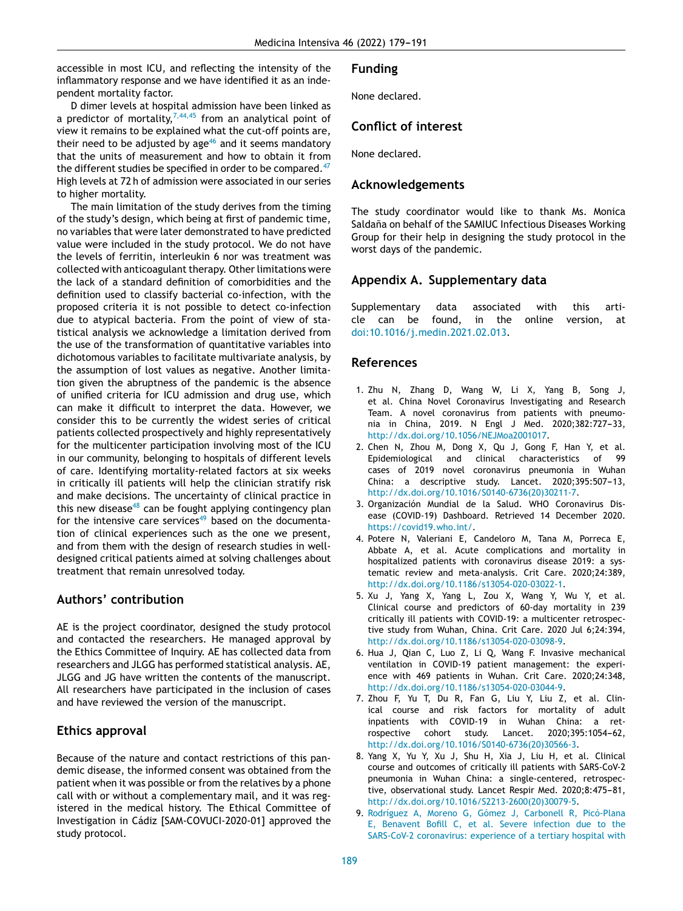accessible in most ICU, and reflecting the intensity of the inflammatory response and we have identified it as an independent mortality factor.

D dimer levels at hospital admission have been linked as a predictor of mortality,  $7,44,45$  from an analytical point of view it remains to be explained what the cut-off points are, their need to be adjusted by age $46$  and it seems mandatory that the units of measurement and how to obtain it from the different studies be specified in order to be compared. $47$ High levels at 72 h of admission were associated in our series to higher mortality.

The main limitation of the study derives from the timing of the study's design, which being at first of pandemic time, no variables that were later demonstrated to have predicted value were included in the study protocol. We do not have the levels of ferritin, interleukin 6 nor was treatment was collected with anticoagulant therapy. Other limitations were the lack of a standard definition of comorbidities and the definition used to classify bacterial co-infection, with the proposed criteria it is not possible to detect co-infection due to atypical bacteria. From the point of view of statistical analysis we acknowledge a limitation derived from the use of the transformation of quantitative variables into dichotomous variables to facilitate multivariate analysis, by the assumption of lost values as negative. Another limitation given the abruptness of the pandemic is the absence of unified criteria for ICU admission and drug use, which can make it difficult to interpret the data. However, we consider this to be currently the widest series of critical patients collected prospectively and highly representatively for the multicenter participation involving most of the ICU in our community, belonging to hospitals of different levels of care. Identifying mortality-related factors at six weeks in critically ill patients will help the clinician stratify risk and make decisions. The uncertainty of clinical practice in this new disease<sup>48</sup> can be fought applying contingency plan for the intensive care services $49$  based on the documentation of clinical experiences such as the one we present, and from them with the design of research studies in welldesigned critical patients aimed at solving challenges about treatment that remain unresolved today.

# **Authors' contribution**

AE is the project coordinator, designed the study protocol and contacted the researchers. He managed approval by the Ethics Committee of Inquiry. AE has collected data from researchers and JLGG has performed statistical analysis. AE, JLGG and JG have written the contents of the manuscript. All researchers have participated in the inclusion of cases and have reviewed the version of the manuscript.

# **Ethics approval**

Because of the nature and contact restrictions of this pandemic disease, the informed consent was obtained from the patient when it was possible or from the relatives by a phone call with or without a complementary mail, and it was registered in the medical history. The Ethical Committee of Investigation in Cádiz [SAM-COVUCI-2020-01] approved the study protocol.

# **Funding**

None declared.

# **Conflict of interest**

None declared.

# **Acknowledgements**

The study coordinator would like to thank Ms. Monica Saldaña on behalf of the SAMIUC Infectious Diseases Working Group for their help in designing the study protocol in the worst days of the pandemic.

# **Appendix A. Supplementary data**

Supplementary data associated with this article can be found, in the online version, at doi:10.1016/j.medin.2021.02.013.

# **References**

- 1. Zhu N, Zhang D, Wang W, Li X, Yang B, Song J, et al. China Novel Coronavirus Investigating and Research Team. A novel coronavirus from patients with pneumonia in China, 2019. N Engl J Med. 2020;382:727-33, http://dx.doi.org/10.1056/NEJMoa2001017.
- 2. Chen N, Zhou M, Dong X, Qu J, Gong F, Han Y, et al. Epidemiological and clinical characteristics of 99 cases of 2019 novel coronavirus pneumonia in Wuhan China: a descriptive study. Lancet. 2020;395:507-13, http://dx.doi.org/10.1016/S0140-6736(20)30211-7.
- 3. Organización Mundial de la Salud. WHO Coronavirus Disease (COVID-19) Dashboard. Retrieved 14 December 2020. https://covid19.who.int/.
- 4. Potere N, Valeriani E, Candeloro M, Tana M, Porreca E, Abbate A, et al. Acute complications and mortality in hospitalized patients with coronavirus disease 2019: a systematic review and meta-analysis. Crit Care. 2020;24:389, http://dx.doi.org/10.1186/s13054-020-03022-1.
- 5. Xu J, Yang X, Yang L, Zou X, Wang Y, Wu Y, et al. Clinical course and predictors of 60-day mortality in 239 critically ill patients with COVID-19: a multicenter retrospective study from Wuhan, China. Crit Care. 2020 Jul 6;24:394, http://dx.doi.org/10.1186/s13054-020-03098-9.
- 6. Hua J, Qian C, Luo Z, Li Q, Wang F. Invasive mechanical ventilation in COVID-19 patient management: the experience with 469 patients in Wuhan. Crit Care. 2020;24:348, http://dx.doi.org/10.1186/s13054-020-03044-9.
- 7. Zhou F, Yu T, Du R, Fan G, Liu Y, Liu Z, et al. Clinical course and risk factors for mortality of adult inpatients with COVID-19 in Wuhan China: a retrospective cohort study. Lancet. 2020;395:1054-62, http://dx.doi.org/10.1016/S0140-6736(20)30566-3.
- 8. Yang X, Yu Y, Xu J, Shu H, Xia J, Liu H, et al. Clinical course and outcomes of critically ill patients with SARS-CoV-2 pneumonia in Wuhan China: a single-centered, retrospective, observational study. Lancet Respir Med. 2020;8:475-81, http://dx.doi.org/10.1016/S2213-2600(20)30079-5.
- 9. Rodríguez A, Moreno G, Gómez J, Carbonell R, Picó-Plana E, Benavent Bofill C, et al. Severe infection due to the SARS-CoV-2 coronavirus: experience of a tertiary hospital with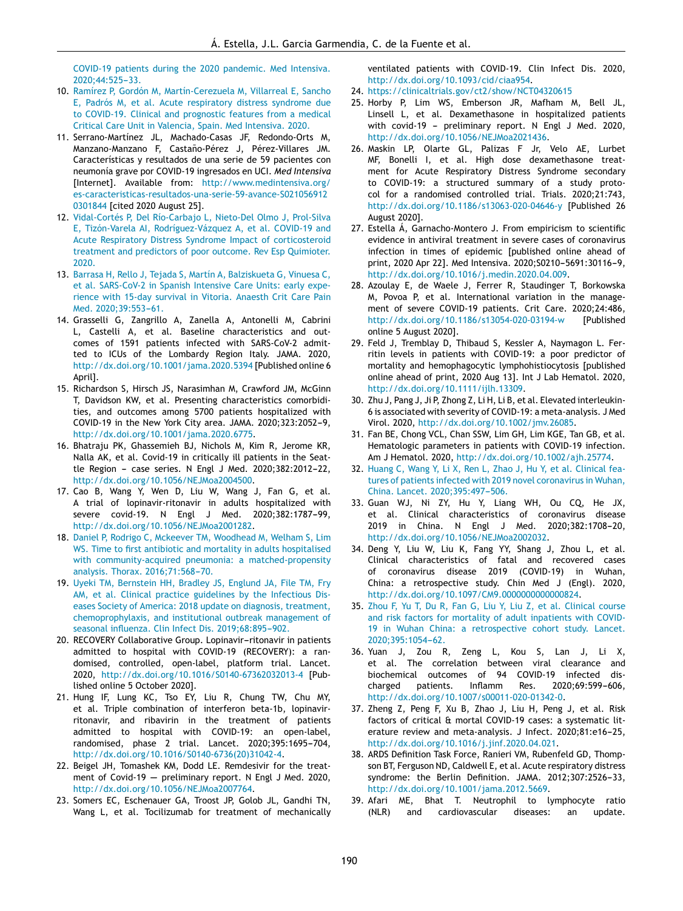COVID-19 patients during the 2020 pandemic. Med Intensiva. 2020:44:525-33.

- 10. Ramírez P, Gordón M, Martín-Cerezuela M, Villarreal E, Sancho E, Padrós M, et al. Acute respiratory distress syndrome due to COVID-19. Clinical and prognostic features from a medical Critical Care Unit in Valencia, Spain. Med Intensiva. 2020.
- 11. Serrano-Martínez JL, Machado-Casas JF, Redondo-Orts M, Manzano-Manzano F, Castaño-Pérez J, Pérez-Villares JM. Características y resultados de una serie de 59 pacientes con neumonía grave por COVID-19 ingresados en UCI. *Med Intensiva* [Internet]. Available from: http://www.medintensiva.org/ es-caracteristicas-resultados-una-serie-59-avance-S021056912 0301844 [cited 2020 August 25].
- 12. Vidal-Cortés P, Del Río-Carbajo L, Nieto-Del Olmo J, Prol-Silva E, Tizón-Varela AI, Rodríguez-Vázquez A, et al. COVID-19 and Acute Respiratory Distress Syndrome Impact of corticosteroid treatment and predictors of poor outcome. Rev Esp Quimioter. 2020.
- 13. Barrasa H, Rello J, Tejada S, Martín A, Balziskueta G, Vinuesa C, et al. SARS-CoV-2 in Spanish Intensive Care Units: early experience with 15-day survival in Vitoria. Anaesth Crit Care Pain Med. 2020;39:553-61.
- 14. Grasselli G, Zangrillo A, Zanella A, Antonelli M, Cabrini L, Castelli A, et al. Baseline characteristics and outcomes of 1591 patients infected with SARS-CoV-2 admitted to ICUs of the Lombardy Region Italy. JAMA. 2020, http://dx.doi.org/10.1001/jama.2020.5394 [Published online 6 April].
- 15. Richardson S, Hirsch JS, Narasimhan M, Crawford JM, McGinn T, Davidson KW, et al. Presenting characteristics comorbidities, and outcomes among 5700 patients hospitalized with COVID-19 in the New York City area. JAMA. 2020;323:2052-9, http://dx.doi.org/10.1001/jama.2020.6775.
- 16. Bhatraju PK, Ghassemieh BJ, Nichols M, Kim R, Jerome KR, Nalla AK, et al. Covid-19 in critically ill patients in the Seattle Region - case series. N Engl J Med. 2020;382:2012-22, http://dx.doi.org/10.1056/NEJMoa2004500.
- 17. Cao B, Wang Y, Wen D, Liu W, Wang J, Fan G, et al. A trial of lopinavir-ritonavir in adults hospitalized with severe covid-19. N Engl J Med. 2020;382:1787-99, http://dx.doi.org/10.1056/NEJMoa2001282.
- 18. Daniel P, Rodrigo C, Mckeever TM, Woodhead M, Welham S, Lim WS. Time to first antibiotic and mortality in adults hospitalised with community-acquired pneumonia: a matched-propensity analysis. Thorax. 2016;71:568-70.
- 19. Uyeki TM, Bernstein HH, Bradley JS, Englund JA, File TM, Fry AM, et al. Clinical practice guidelines by the Infectious Diseases Society of America: 2018 update on diagnosis, treatment, chemoprophylaxis, and institutional outbreak management of seasonal influenza. Clin Infect Dis. 2019;68:895-902.
- 20. RECOVERY Collaborative Group. Lopinavir-ritonavir in patients admitted to hospital with COVID-19 (RECOVERY): a randomised, controlled, open-label, platform trial. Lancet. 2020, http://dx.doi.org/10.1016/S0140-67362032013-4 [Published online 5 October 2020].
- 21. Hung IF, Lung KC, Tso EY, Liu R, Chung TW, Chu MY, et al. Triple combination of interferon beta-1b, lopinavirritonavir, and ribavirin in the treatment of patients admitted to hospital with COVID-19: an open-label, randomised, phase 2 trial. Lancet. 2020;395:1695-704, http://dx.doi.org/10.1016/S0140-6736(20)31042-4.
- 22. Beigel JH, Tomashek KM, Dodd LE. Remdesivir for the treatment of Covid-19  $-$  preliminary report. N Engl J Med. 2020, http://dx.doi.org/10.1056/NEJMoa2007764.
- 23. Somers EC, Eschenauer GA, Troost JP, Golob JL, Gandhi TN, Wang L, et al. Tocilizumab for treatment of mechanically

ventilated patients with COVID-19. Clin Infect Dis. 2020, http://dx.doi.org/10.1093/cid/ciaa954.

- 24. https://clinicaltrials.gov/ct2/show/NCT04320615
- 25. Horby P, Lim WS, Emberson JR, Mafham M, Bell JL, Linsell L, et al. Dexamethasone in hospitalized patients with covid-19 - preliminary report. N Engl J Med. 2020, http://dx.doi.org/10.1056/NEJMoa2021436.
- 26. Maskin LP, Olarte GL, Palizas F Jr, Velo AE, Lurbet MF, Bonelli I, et al. High dose dexamethasone treatment for Acute Respiratory Distress Syndrome secondary to COVID-19: a structured summary of a study protocol for a randomised controlled trial. Trials. 2020;21:743, http://dx.doi.org/10.1186/s13063-020-04646-y [Published 26 August 2020].
- 27. Estella Á, Garnacho-Montero J. From empiricism to scientific evidence in antiviral treatment in severe cases of coronavirus infection in times of epidemic [published online ahead of print, 2020 Apr 22]. Med Intensiva. 2020; 50210-5691: 30116-9, http://dx.doi.org/10.1016/j.medin.2020.04.009.
- 28. Azoulay E, de Waele J, Ferrer R, Staudinger T, Borkowska M, Povoa P, et al. International variation in the management of severe COVID-19 patients. Crit Care. 2020;24:486, http://dx.doi.org/10.1186/s13054-020-03194-w [Published online 5 August 2020].
- 29. Feld J, Tremblay D, Thibaud S, Kessler A, Naymagon L. Ferritin levels in patients with COVID-19: a poor predictor of mortality and hemophagocytic lymphohistiocytosis [published online ahead of print, 2020 Aug 13]. Int J Lab Hematol. 2020, http://dx.doi.org/10.1111/ijlh.13309.
- 30. Zhu J, Pang J, Ji P, Zhong Z, Li H, Li B, et al. Elevated interleukin-6 is associated with severity of COVID-19: a meta-analysis. J Med Virol. 2020, http://dx.doi.org/10.1002/jmv.26085.
- 31. Fan BE, Chong VCL, Chan SSW, Lim GH, Lim KGE, Tan GB, et al. Hematologic parameters in patients with COVID-19 infection. Am J Hematol. 2020, http://dx.doi.org/10.1002/ajh.25774.
- 32. Huang C, Wang Y, Li X, Ren L, Zhao J, Hu Y, et al. Clinical features of patients infected with 2019 novel coronavirus in Wuhan, China. Lancet. 2020;395:497-506.
- 33. Guan WJ, Ni ZY, Hu Y, Liang WH, Ou CQ, He JX, et al. Clinical characteristics of coronavirus disease 2019 in China. N Engl J Med. 2020:382:1708-20. http://dx.doi.org/10.1056/NEJMoa2002032.
- 34. Deng Y, Liu W, Liu K, Fang YY, Shang J, Zhou L, et al. Clinical characteristics of fatal and recovered cases of coronavirus disease 2019 (COVID-19) in Wuhan, China: a retrospective study. Chin Med J (Engl). 2020, http://dx.doi.org/10.1097/CM9.0000000000000824.
- 35. Zhou F, Yu T, Du R, Fan G, Liu Y, Liu Z, et al. Clinical course and risk factors for mortality of adult inpatients with COVID-19 in Wuhan China: a retrospective cohort study. Lancet. 2020;395:1054-62.
- 36. Yuan J, Zou R, Zeng L, Kou S, Lan J, Li X, et al. The correlation between viral clearance and biochemical outcomes of 94 COVID-19 infected discharged patients. Inflamm Res. 2020;69:599-606, http://dx.doi.org/10.1007/s00011-020-01342-0.
- 37. Zheng Z, Peng F, Xu B, Zhao J, Liu H, Peng J, et al. Risk factors of critical & mortal COVID-19 cases: a systematic literature review and meta-analysis. J Infect. 2020;81:e16-25, http://dx.doi.org/10.1016/j.jinf.2020.04.021.
- 38. ARDS Definition Task Force, Ranieri VM, Rubenfeld GD, Thompson BT, Ferguson ND, Caldwell E, et al. Acute respiratory distress syndrome: the Berlin Definition. JAMA. 2012;307:2526-33, http://dx.doi.org/10.1001/jama.2012.5669.
- 39. Afari ME, Bhat T. Neutrophil to lymphocyte ratio (NLR) and cardiovascular diseases: an update.